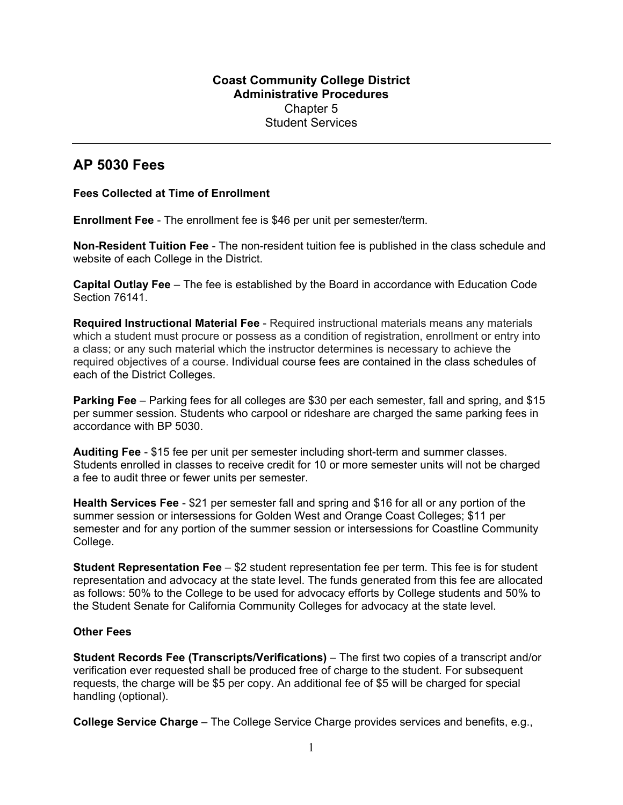## **Coast Community College District Administrative Procedures**  Chapter 5 Student Services

## **AP 5030 Fees**

## **Fees Collected at Time of Enrollment**

**Enrollment Fee** - The enrollment fee is \$46 per unit per semester/term.

**Non-Resident Tuition Fee** - The non-resident tuition fee is published in the class schedule and website of each College in the District.

**Capital Outlay Fee** – The fee is established by the Board in accordance with Education Code Section 76141.

**Required Instructional Material Fee** - Required instructional materials means any materials which a student must procure or possess as a condition of registration, enrollment or entry into a class; or any such material which the instructor determines is necessary to achieve the required objectives of a course. Individual course fees are contained in the class schedules of each of the District Colleges.

**Parking Fee** – Parking fees for all colleges are \$30 per each semester, fall and spring, and \$15 per summer session. Students who carpool or rideshare are charged the same parking fees in accordance with BP 5030.

**Auditing Fee** - \$15 fee per unit per semester including short-term and summer classes. Students enrolled in classes to receive credit for 10 or more semester units will not be charged a fee to audit three or fewer units per semester.

**Health Services Fee** - \$21 per semester fall and spring and \$16 for all or any portion of the summer session or intersessions for Golden West and Orange Coast Colleges; \$11 per semester and for any portion of the summer session or intersessions for Coastline Community College.

**Student Representation Fee** – \$2 student representation fee per term. This fee is for student representation and advocacy at the state level. The funds generated from this fee are allocated as follows: 50% to the College to be used for advocacy efforts by College students and 50% to the Student Senate for California Community Colleges for advocacy at the state level.

## **Other Fees**

**Student Records Fee (Transcripts/Verifications)** – The first two copies of a transcript and/or verification ever requested shall be produced free of charge to the student. For subsequent requests, the charge will be \$5 per copy. An additional fee of \$5 will be charged for special handling (optional).

**College Service Charge** – The College Service Charge provides services and benefits, e.g.,